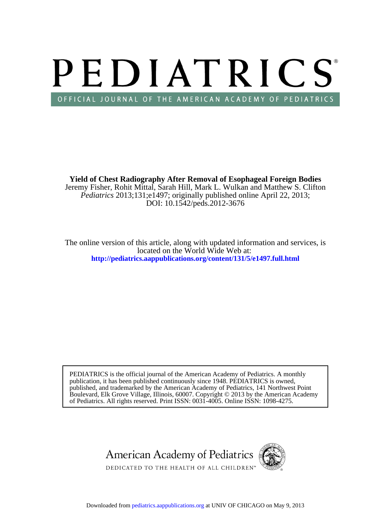# PEDIATRICS OFFICIAL JOURNAL OF THE AMERICAN ACADEMY OF PEDIATRICS

DOI: 10.1542/peds.2012-3676 *Pediatrics* 2013;131;e1497; originally published online April 22, 2013; Jeremy Fisher, Rohit Mittal, Sarah Hill, Mark L. Wulkan and Matthew S. Clifton **Yield of Chest Radiography After Removal of Esophageal Foreign Bodies**

**<http://pediatrics.aappublications.org/content/131/5/e1497.full.html>** located on the World Wide Web at: The online version of this article, along with updated information and services, is

of Pediatrics. All rights reserved. Print ISSN: 0031-4005. Online ISSN: 1098-4275. Boulevard, Elk Grove Village, Illinois, 60007. Copyright © 2013 by the American Academy published, and trademarked by the American Academy of Pediatrics, 141 Northwest Point publication, it has been published continuously since 1948. PEDIATRICS is owned, PEDIATRICS is the official journal of the American Academy of Pediatrics. A monthly

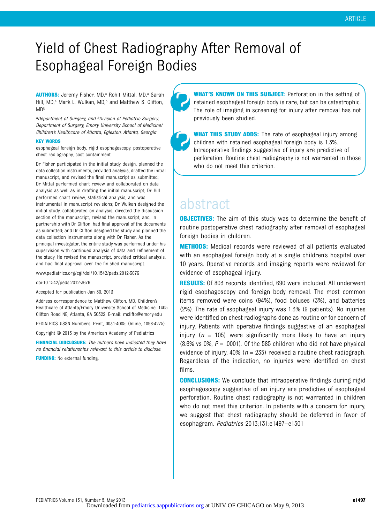## Yield of Chest Radiography After Removal of Esophageal Foreign Bodies

AUTHORS: Jeremy Fisher, MD,<sup>a</sup> Rohit Mittal, MD,<sup>a</sup> Sarah Hill, MD,<sup>a</sup> Mark L. Wulkan, MD,<sup>b</sup> and Matthew S. Clifton, MD<sub>b</sub>

aDepartment of Surgery, and bDivision of Pediatric Surgery, Department of Surgery, Emory University School of Medicine/ Children's Healthcare of Atlanta, Egleston, Atlanta, Georgia

#### KEY WORDS

esophageal foreign body, rigid esophagoscopy, postoperative chest radiography, cost containment

Dr Fisher participated in the initial study design, planned the data collection instruments, provided analysis, drafted the initial manuscript, and revised the final manuscript as submitted; Dr Mittal performed chart review and collaborated on data analysis as well as in drafting the initial manuscript; Dr Hill performed chart review, statistical analysis, and was instrumental in manuscript revisions; Dr Wulkan designed the initial study, collaborated on analysis, directed the discussion section of the manuscript, revised the manuscript, and, in partnership with Dr Clifton, had final approval of the documents as submitted; and Dr Clifton designed the study and planned the data collection instruments along with Dr Fisher. As the principal investigator, the entire study was performed under his supervision with continued analysis of data and refinement of the study. He revised the manuscript, provided critical analysis, and had final approval over the finished manuscript.

www.pediatrics.org/cgi/doi/10.1542/peds.2012-3676

doi:10.1542/peds.2012-3676

Accepted for publication Jan 30, 2013

Address correspondence to Matthew Clifton, MD, Children's Healthcare of Atlanta/Emory University School of Medicine, 1405 Clifton Road NE, Atlanta, GA 30322. E-mail: [mclifto@emory.edu](mailto:mclifto@emory.edu)

PEDIATRICS (ISSN Numbers: Print, 0031-4005; Online, 1098-4275).

Copyright © 2013 by the American Academy of Pediatrics

FINANCIAL DISCLOSURE: The authors have indicated they have no financial relationships relevant to this article to disclose.

**FUNDING:** No external funding.

WHAT'S KNOWN ON THIS SUBJECT: Perforation in the setting of retained esophageal foreign body is rare, but can be catastrophic. The role of imaging in screening for injury after removal has not previously been studied.

**WHAT THIS STUDY ADDS:** The rate of esophageal injury among children with retained esophageal foreign body is 1.3%. Intraoperative findings suggestive of injury are predictive of perforation. Routine chest radiography is not warranted in those who do not meet this criterion.

### abstract

**OBJECTIVES:** The aim of this study was to determine the benefit of routine postoperative chest radiography after removal of esophageal foreign bodies in children.

**METHODS:** Medical records were reviewed of all patients evaluated with an esophageal foreign body at a single children's hospital over 10 years. Operative records and imaging reports were reviewed for evidence of esophageal injury.

RESULTS: Of 803 records identified, 690 were included. All underwent rigid esophagoscopy and foreign body removal. The most common items removed were coins (94%), food boluses (3%), and batteries (2%). The rate of esophageal injury was 1.3% (9 patients). No injuries were identified on chest radiographs done as routine or for concern of injury. Patients with operative findings suggestive of an esophageal injury ( $n = 105$ ) were significantly more likely to have an injury (8.6% vs 0%,  $P = .0001$ ). Of the 585 children who did not have physical evidence of injury, 40% ( $n = 235$ ) received a routine chest radiograph. Regardless of the indication, no injuries were identified on chest films.

**CONCLUSIONS:** We conclude that intraoperative findings during rigid esophagoscopy suggestive of an injury are predictive of esophageal perforation. Routine chest radiography is not warranted in children who do not meet this criterion. In patients with a concern for injury, we suggest that chest radiography should be deferred in favor of esophagram. Pediatrics 2013;131:e1497–e1501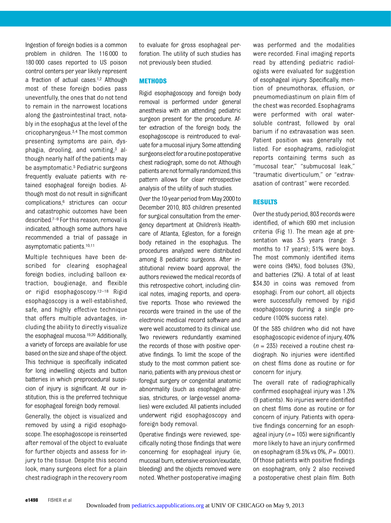Ingestion of foreign bodies is a common problem in children. The 116 000 to 180 000 cases reported to US poison control centers per year likely represent a fraction of actual cases.1,2 Although most of these foreign bodies pass uneventfully, the ones that do not tend to remain in the narrowest locations along the gastrointestinal tract, notably in the esophagus at the level of the cricopharyngeus.3,4 The most common presenting symptoms are pain, dysphagia, drooling, and vomiting, $3$  although nearly half of the patients may be asymptomatic.5 Pediatric surgeons frequently evaluate patients with retained esophageal foreign bodies. Although most do not result in significant complications,6 strictures can occur and catastrophic outcomes have been described.7–<sup>9</sup> For this reason, removal is indicated, although some authors have recommended a trial of passage in asymptomatic patients.10,11

Multiple techniques have been described for clearing esophageal foreign bodies, including balloon extraction, bougienage, and flexible or rigid esophagoscopy.12–<sup>18</sup> Rigid esophagoscopy is a well-established, safe, and highly effective technique that offers multiple advantages, including the ability to directly visualize the esophageal mucosa.19,20 Additionally, a variety of forceps are available for use based on the size and shape of the object. This technique is specifically indicated for long indwelling objects and button batteries in which preprocedural suspicion of injury is significant. At our institution, this is the preferred technique for esophageal foreign body removal.

Generally, the object is visualized and removed by using a rigid esophagoscope. The esophagoscope is reinserted after removal of the object to evaluate for further objects and assess for injury to the tissue. Despite this second look, many surgeons elect for a plain chest radiograph in the recovery room to evaluate for gross esophageal perforation. The utility of such studies has not previously been studied.

#### **METHODS**

Rigid esophagoscopy and foreign body removal is performed under general anesthesia with an attending pediatric surgeon present for the procedure. After extraction of the foreign body, the esophagoscope is reintroduced to evaluate for a mucosal injury. Some attending surgeons elect for a routine postoperative chest radiograph, some do not. Although patients are not formally randomized, this pattern allows for clear retrospective analysis of the utility of such studies.

Over the 10-year period from May 2000 to December 2010, 803 children presented for surgical consultation from the emergency department at Children's Healthcare of Atlanta, Egleston, for a foreign body retained in the esophagus. The procedures analyzed were distributed among 8 pediatric surgeons. After institutional review board approval, the authors reviewed the medical records of this retrospective cohort, including clinical notes, imaging reports, and operative reports. Those who reviewed the records were trained in the use of the electronic medical record software and were well accustomed to its clinical use. Two reviewers redundantly examined the records of those with positive operative findings. To limit the scope of the study to the most common patient scenario, patients with any previous chest or foregut surgery or congenital anatomic abnormality (such as esophageal atresias, strictures, or large-vessel anomalies) were excluded. All patients included underwent rigid esophagoscopy and foreign body removal.

Operative findings were reviewed, specifically noting those findings that were concerning for esophageal injury (ie, mucosal burn, extensive erosion/exudate, bleeding) and the objects removed were noted. Whether postoperative imaging was performed and the modalities were recorded. Final imaging reports read by attending pediatric radiologists were evaluated for suggestion of esophageal injury. Specifically, mention of pneumothorax, effusion, or pneumomediastinum on plain film of the chest was recorded. Esophagrams were performed with oral watersoluble contrast, followed by oral barium if no extravasation was seen. Patient position was generally not listed. For esophagrams, radiologist reports containing terms such as "mucosal tear," "submucosal leak," "traumatic diverticulum," or "extravasation of contrast" were recorded.

#### RESULTS

Over the study period, 803 recordswere identified, of which 690 met inclusion criteria (Fig 1). The mean age at presentation was 3.5 years (range: 3 months to 17 years); 51% were boys. The most commonly identified items were coins (94%), food boluses (3%), and batteries (2%). A total of at least \$34.30 in coins was removed from esophagi. From our cohort, all objects were successfully removed by rigid esophagoscopy during a single procedure (100% success rate).

Of the 585 children who did not have esophagoscopic evidence of injury, 40%  $(n = 235)$  received a routine chest radiograph. No injuries were identified on chest films done as routine or for concern for injury.

The overall rate of radiographically confirmed esophageal injury was 1.3% (9 patients). No injuries were identified on chest films done as routine or for concern of injury. Patients with operative findings concerning for an esophageal injury ( $n = 105$ ) were significantly more likely to have an injury confirmed on esophagram  $(8.5\% \text{ vs } 0\%, P = .0001)$ . Of those patients with positive findings on esophagram, only 2 also received a postoperative chest plain film. Both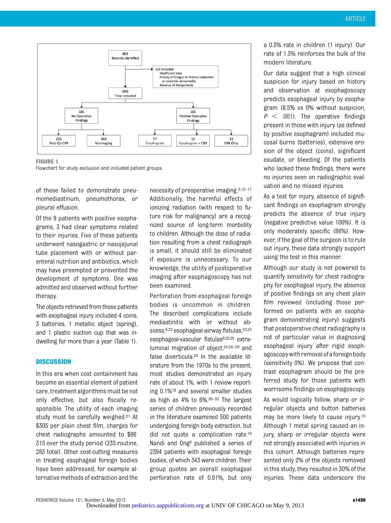

#### FIGURE 1

Flowchart for study exclusion and included patient groups.

of these failed to demonstrate pneumomediastinum, pneumothorax, or pleural effusion.

Of the 9 patients with positive esophagrams, 3 had clear symptoms related to their injuries. Five of these patients underwent nasogastric or nasojejunal tube placement with or without parenteral nutrition and antibiotics, which may have preempted or prevented the development of symptoms. One was admitted and observed without further therapy.

The objects retrieved from those patients with esophageal injury included 4 coins, 3 batteries, 1 metallic object (spring), and 1 plastic suction cup that was indwelling for more than a year (Table 1).

#### **DISCUSSION**

In this era when cost containment has become an essential element of patient care, treatment algorithms must be not only effective, but also fiscally responsible. The utility of each imaging study must be carefully weighed.<sup>21</sup> At \$305 per plain chest film, charges for chest radiographs amounted to \$86 315 over the study period (235 routine, 283 total). Other cost-cutting measures in treating esophageal foreign bodies have been addressed, for example alternative methods of extraction and the

necessity of preoperative imaging.3,12–<sup>17</sup> Additionally, the harmful effects of ionizing radiation (with respect to future risk for malignancy) are a recognized source of long-term morbidity to children. Although the dose of radiation resulting from a chest radiograph is small, it should still be eliminated if exposure is unnecessary. To our knowledge, the utility of postoperative imaging after esophagoscopy has not been examined.

Perforation from esophageal foreign bodies is uncommon in children. The described complications include mediastinitis with or without abscess, 6,22 esophageal-airway fistulas, 23,24 esophageal-vascular fistulas6,22,25 extraluminal migration of object,24,26–<sup>29</sup> and false diverticula.<sup>28</sup> In the available literature from the 1970s to the present, most studies demonstrated an injury rate of about 1%, with 1 review reporting 0.1%18 and several smaller studies as high as 4% to 6%.30–<sup>33</sup> The largest series of children previously recorded in the literature examined 500 patients undergoing foreign body extraction, but did not quote a complication rate.16 Nandi and Ong6 published a series of 2394 patients with esophageal foreign bodies, of which 343 were children. Their group quotes an overall esophageal perforation rate of 0.91%, but only

a 0.3% rate in children (1 injury). Our rate of 1.3% reinforces the bulk of the modern literature.

Our data suggest that a high clinical suspicion for injury based on history and observation at esophagoscopy predicts esophageal injury by esophagram (8.5% vs 0% without suspicion,  $P < .001$ ). The operative findings present in those with injury (as defined by positive esophagram) included mucosal burns (batteries), extensive erosion of the object (coins), significant exudate, or bleeding. Of the patients who lacked these findings, there were no injuries seen on radiographic evaluation and no missed injuries.

As a test for injury, absence of significant findings on esophagram strongly predicts the absence of true injury (negative predictive value 100%). It is only moderately specific (86%). However, if the goal of the surgeon is to rule out injury, these data strongly support using the test in this manner.

Although our study is not powered to quantify sensitivity for chest radiography for esophageal injury, the absence of positive findings on any chest plain film reviewed (including those performed on patients with an esophagram demonstrating injury) suggests that postoperative chest radiography is not of particular value in diagnosing esophageal injury after rigid esophagoscopy with removal of a foreign body (sensitivity 0%). We propose that contrast esophagram should be the preferred study for those patients with worrisome findings on esophagoscopy.

As would logically follow, sharp or irregular objects and button batteries may be more likely to cause injury.10 Although 1 metal spring caused an injury, sharp or irregular objects were not strongly associated with injuries in this cohort. Although batteries represented only 2% of the objects removed in this study, they resulted in 30% of the injuries. These data underscore the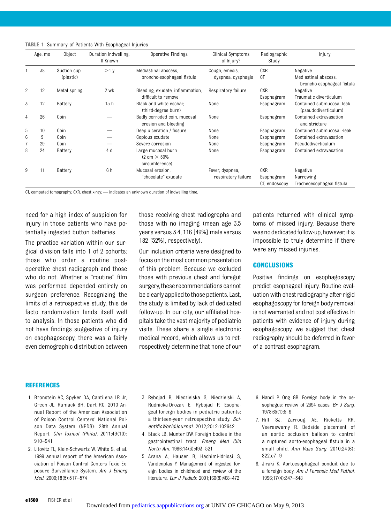|                | Age, mo | Object       | Duration Indwelling,<br>If Known | Operative Findings                                                   | <b>Clinical Symptoms</b><br>of Injury? | Radiographic<br>Study | Injury                                             |
|----------------|---------|--------------|----------------------------------|----------------------------------------------------------------------|----------------------------------------|-----------------------|----------------------------------------------------|
|                | 38      | Suction cup  | $>1$ y                           | Mediastinal abscess.                                                 | Cough, emesis,                         | <b>CXR</b>            | Negative                                           |
|                |         | (plastic)    |                                  | broncho-esophageal fistula                                           | dyspnea, dysphagia                     | СT                    | Mediastinal abscess.<br>broncho-esophageal fistula |
| $\overline{2}$ | 12      | Metal spring | 2 wk                             | Bleeding, exudate, inflammation,<br>difficult to remove              | Respiratory failure                    | <b>CXR</b>            | Negative                                           |
|                |         |              |                                  |                                                                      |                                        | Esophagram            | Traumatic diverticulum                             |
| 3              | 12      | Battery      | 15h                              | Black and white eschar,<br>(third-degree burn)                       | None                                   | Esophagram            | Contained submucosal leak<br>(pseudodiverticulum)  |
| 4              | 26      | Coin         |                                  | Badly corroded coin, mucosal<br>erosion and bleeding                 | None                                   | Esophagram            | Contained extravasation<br>and stricture           |
| 5              | 10      | Coin         |                                  | Deep ulceration / fissure                                            | None                                   | Esophagram            | Contained submucosal -leak                         |
| 6              | 9       | Coin         |                                  | Copious exudate                                                      | None                                   | Esophagram            | Contained extravasation                            |
| 7              | 29      | Coin         |                                  | Severe corrosion                                                     | None                                   | Esophagram            | Pseudodiverticulum                                 |
| 8              | 24      | Battery      | 4 d                              | Large mucosal burn<br>$(2 \text{ cm} \times 50\%)$<br>circumference) | None                                   | Esophagram            | Contained extravasation                            |
| 9              | 11      | Battery      | 6 h                              | Mucosal erosion.<br>"chocolate" exudate                              | Fever, dyspnea,<br>respiratory failure | <b>CXR</b>            | Negative                                           |
|                |         |              |                                  |                                                                      |                                        | Esophagram            | Narrowing                                          |
|                |         |              |                                  |                                                                      |                                        | CT, endoscopy         | Tracheoesophageal fistula                          |

TABLE 1 Summary of Patients With Esophageal Injuries

CT, computed tomography; CXR, chest x-ray; — indicates an unknown duration of indwelling time.

need for a high index of suspicion for injury in those patients who have potentially ingested button batteries.

The practice variation within our surgical division falls into 1 of 2 cohorts: those who order a routine postoperative chest radiograph and those who do not. Whether a "routine" film was performed depended entirely on surgeon preference. Recognizing the limits of a retrospective study, this de facto randomization lends itself well to analysis. In those patients who did not have findings suggestive of injury on esophagoscopy, there was a fairly even demographic distribution between

those receiving chest radiographs and those with no imaging (mean age 3.5 years versus 3.4, 116 [49%] male versus 182 [52%], respectively).

Our inclusion criteria were designed to focus onthe most common presentation of this problem. Because we excluded those with previous chest and foregut surgery,these recommendations cannot be clearly applied to those patients. Last, the study is limited by lack of dedicated follow-up. In our city, our affiliated hospitals take the vast majority of pediatric visits. These share a single electronic medical record, which allows us to retrospectively determine that none of our

patients returned with clinical symptoms of missed injury. Because there was no dedicated follow-up, however, it is impossible to truly determine if there were any missed injuries.

#### **CONCLUSIONS**

Positive findings on esophagoscopy predict esophageal injury. Routine evaluation with chest radiography after rigid esophagoscopy for foreign body removal is not warranted and not cost effective. In patients with evidence of injury during esophagoscopy, we suggest that chest radiography should be deferred in favor of a contrast esophagram.

#### REFERENCES

- 1. Bronstein AC, Spyker DA, Cantilena LR Jr, Green JL, Rumack BH, Dart RC, 2010 Annual Report of the American Association of Poison Control Centers' National Poison Data System (NPDS): 28th Annual Report. Clin Toxicol (Phila). 2011;49(10): 910–941
- 2. Litovitz TL, Klein-Schwartz W, White S, et al. 1999 annual report of the American Association of Poison Control Centers Toxic Exposure Surveillance System. Am J Emerg Med. 2000;18(5):517–574
- 3. Rybojad B, Niedzielska G, Niedzielski A, Rudnicka-Drozak E, Rybojad P. Esophageal foreign bodies in pediatric patients: a thirteen-year retrospective study. ScientificWorldJournal. 2012;2012:102642
- 4. Stack LB, Munter DW. Foreign bodies in the gastrointestinal tract. Emerg Med Clin North Am. 1996;14(3):493–521
- 5. Arana A, Hauser B, Hachimi-Idrissi S, Vandenplas Y. Management of ingested foreign bodies in childhood and review of the literature. Eur J Pediatr. 2001;160(8):468–472
- 6. Nandi P, Ong GB. Foreign body in the oesophagus: review of 2394 cases. Br J Surg. 1978;65(1):5–9
- 7. Hill SJ, Zarroug AE, Ricketts RR, Veeraswamy R. Bedside placement of an aortic occlusion balloon to control a ruptured aorto-esophageal fistula in a small child. Ann Vasc Surg. 2010;24(6): 822.e7–9
- 8. Jiraki K. Aortoesophageal conduit due to a foreign body. Am J Forensic Med Pathol. 1996;17(4):347–348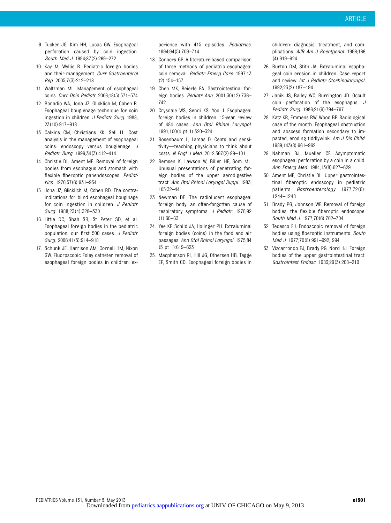- 9. Tucker JG, Kim HH, Lucas GW. Esophageal perforation caused by coin ingestion. South Med J. 1994;87(2):269–272
- 10. Kay M, Wyllie R. Pediatric foreign bodies and their management. Curr Gastroenterol Rep. 2005;7(3):212–218
- 11. Waltzman ML. Management of esophageal coins. Curr Opin Pediatr. 2006;18(5):571–574
- 12. Bonadio WA, Jona JZ, Glicklich M, Cohen R. Esophageal bougienage technique for coin ingestion in children. J Pediatr Surg. 1988; 23(10):917–918
- 13. Calkins CM, Christians KK, Sell LL. Cost analysis in the management of esophageal coins: endoscopy versus bougienage. J Pediatr Surg. 1999;34(3):412–414
- 14. Christie DL, Ament ME. Removal of foreign bodies from esophagus and stomach with flexible fiberoptic panendoscopes. Pediatrics. 1976;57(6):931–934
- 15. Jona JZ, Glicklich M, Cohen RD. The contraindications for blind esophageal bouginage for coin ingestion in children. J Pediatr Surg. 1988;23(4):328–330
- 16. Little DC, Shah SR, St Peter SD, et al. Esophageal foreign bodies in the pediatric population: our first 500 cases. J Pediatr Surg. 2006;41(5):914–918
- 17. Schunk JE, Harrison AM, Corneli HM, Nixon GW. Fluoroscopic Foley catheter removal of esophageal foreign bodies in children: ex-

perience with 415 episodes. Pediatrics. 1994;94(5):709–714

- 18. Conners GP. A literature-based comparison of three methods of pediatric esophageal coin removal. Pediatr Emerg Care. 1997;13  $(2):154-157$
- 19. Chen MK, Beierle EA. Gastrointestinal foreign bodies. Pediatr Ann. 2001;30(12):736– 742
- 20. Crysdale WS, Sendi KS, Yoo J. Esophageal foreign bodies in children. 15-year review of 484 cases. Ann Otol Rhinol Laryngol. 1991;100(4 pt 1):320–324
- 21. Rosenbaum L, Lamas D. Cents and sensitivity—teaching physicians to think about costs. N Engl J Med. 2012;367(2):99–101
- 22. Remsen K, Lawson W, Biller HF, Som ML. Unusual presentations of penetrating foreign bodies of the upper aerodigestive tract. Ann Otol Rhinol Laryngol Suppl. 1983; 105:32–44
- 23. Newman DE. The radiolucent esophageal foreign body: an often-forgotten cause of respiratory symptoms. J Pediatr. 1978;92 (1):60–63
- 24. Yee KF, Schild JA, Holinger PH. Extraluminal foreign bodies (coins) in the food and air passages. Ann Otol Rhinol Laryngol. 1975;84 (5 pt 1):619–623
- 25. Macpherson RI, Hill JG, Othersen HB, Tagge EP, Smith CD. Esophageal foreign bodies in

children: diagnosis, treatment, and complications. AJR Am J Roentgenol. 1996;166 (4):919–924

- 26. Burton DM, Stith JA. Extraluminal esophageal coin erosion in children. Case report and review. Int J Pediatr Otorhinolaryngol. 1992;23(2):187–194
- 27. Janik JS, Bailey WC, Burrington JD. Occult coin perforation of the esophagus.  $J$ Pediatr Surg. 1986;21(9):794–797
- 28. Katz KR, Emmens RW, Wood BP. Radiological case of the month. Esophageal obstruction and abscess formation secondary to impacted, eroding tiddlywink. Am J Dis Child. 1989;143(8):961–962
- 29. Nahman BJ, Mueller CF. Asymptomatic esophageal perforation by a coin in a child. Ann Emerg Med. 1984;13(8):627–629
- 30. Ament ME, Christie DL. Upper gastrointestinal fiberoptic endoscopy in pediatric patients. Gastroenterology. 1977;72(6): 1244–1248
- 31. Brady PG, Johnson WF. Removal of foreign bodies: the flexible fiberoptic endoscope. South Med J. 1977;70(6):702–704
- 32. Tedesco FJ. Endoscopic removal of foreign bodies using fiberoptic instruments. South Med J. 1977;70(8):991–992, 994
- 33. Vizcarrondo FJ, Brady PG, Nord HJ. Foreign bodies of the upper gastrointestinal tract. Gastrointest Endosc. 1983;29(3):208–210